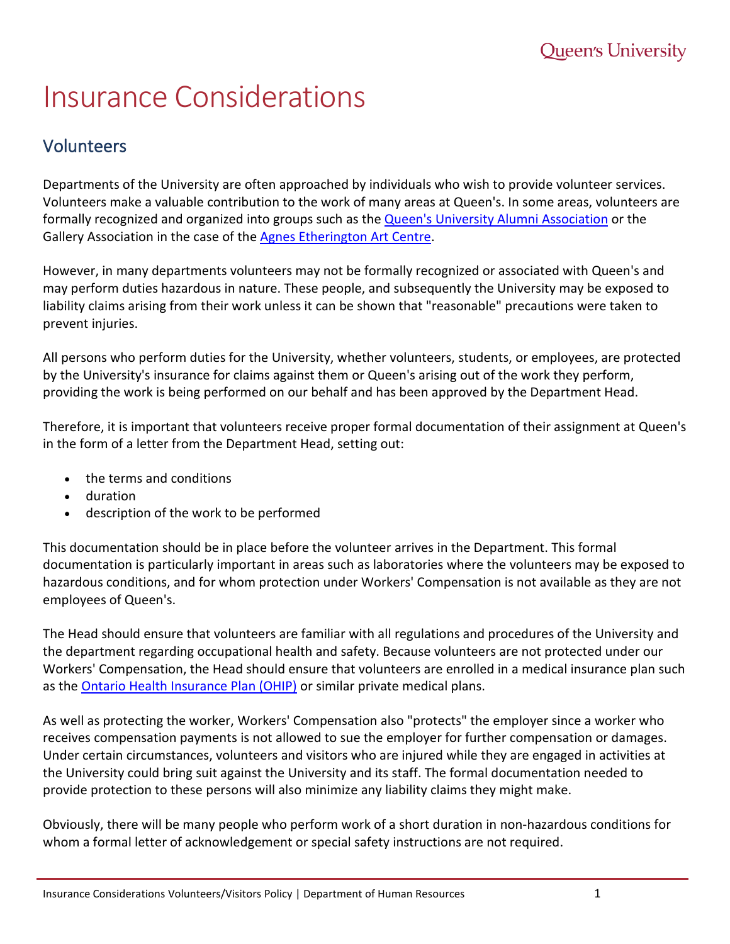## Insurance Considerations

## Volunteers

Departments of the University are often approached by individuals who wish to provide volunteer services. Volunteers make a valuable contribution to the work of many areas at Queen's. In some areas, volunteers are formally recognized and organized into groups such as the [Queen's University Alumni Association](https://www.queensu.ca/alumni/) or the Gallery Association in the case of the [Agnes Etherington Art Centre.](https://agnes.queensu.ca/)

However, in many departments volunteers may not be formally recognized or associated with Queen's and may perform duties hazardous in nature. These people, and subsequently the University may be exposed to liability claims arising from their work unless it can be shown that "reasonable" precautions were taken to prevent injuries.

All persons who perform duties for the University, whether volunteers, students, or employees, are protected by the University's insurance for claims against them or Queen's arising out of the work they perform, providing the work is being performed on our behalf and has been approved by the Department Head.

Therefore, it is important that volunteers receive proper formal documentation of their assignment at Queen's in the form of a letter from the Department Head, setting out:

- the terms and conditions
- duration
- description of the work to be performed

This documentation should be in place before the volunteer arrives in the Department. This formal documentation is particularly important in areas such as laboratories where the volunteers may be exposed to hazardous conditions, and for whom protection under Workers' Compensation is not available as they are not employees of Queen's.

The Head should ensure that volunteers are familiar with all regulations and procedures of the University and the department regarding occupational health and safety. Because volunteers are not protected under our Workers' Compensation, the Head should ensure that volunteers are enrolled in a medical insurance plan such as the [Ontario Health Insurance Plan \(OHIP\)](http://health.gov.on.ca/en/public/programs/ohip/) or similar private medical plans.

As well as protecting the worker, Workers' Compensation also "protects" the employer since a worker who receives compensation payments is not allowed to sue the employer for further compensation or damages. Under certain circumstances, volunteers and visitors who are injured while they are engaged in activities at the University could bring suit against the University and its staff. The formal documentation needed to provide protection to these persons will also minimize any liability claims they might make.

Obviously, there will be many people who perform work of a short duration in non-hazardous conditions for whom a formal letter of acknowledgement or special safety instructions are not required.